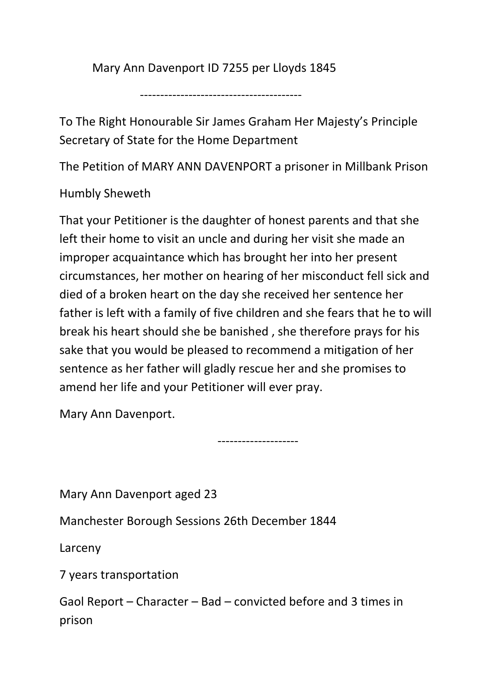Mary Ann Davenport ID 7255 per Lloyds 1845

----------------------------------------

To The Right Honourable Sir James Graham Her Majesty's Principle Secretary of State for the Home Department

The Petition of MARY ANN DAVENPORT a prisoner in Millbank Prison

Humbly Sheweth

That your Petitioner is the daughter of honest parents and that she left their home to visit an uncle and during her visit she made an improper acquaintance which has brought her into her present circumstances, her mother on hearing of her misconduct fell sick and died of a broken heart on the day she received her sentence her father is left with a family of five children and she fears that he to will break his heart should she be banished , she therefore prays for his sake that you would be pleased to recommend a mitigation of her sentence as her father will gladly rescue her and she promises to amend her life and your Petitioner will ever pray.

Mary Ann Davenport.

--------------------

Mary Ann Davenport aged 23

Manchester Borough Sessions 26th December 1844

Larceny

7 years transportation

Gaol Report – Character – Bad – convicted before and 3 times in prison